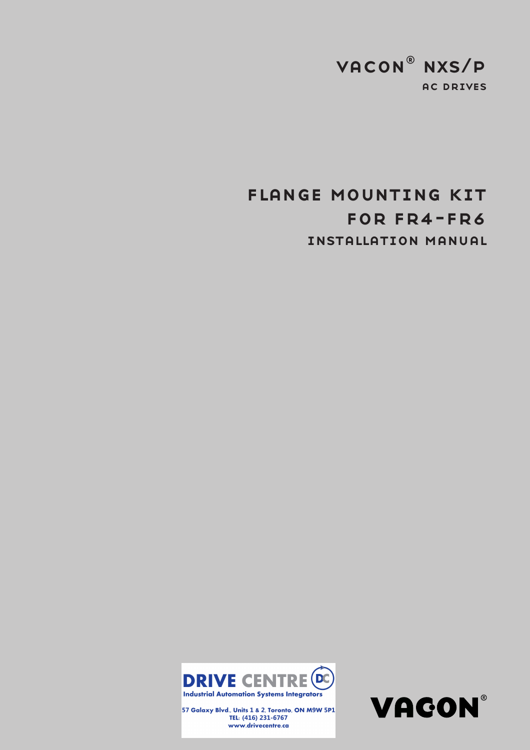## ac drives vacon® nxs/p

# installation manual for fr4-fr6 flange mounting kit



57 Galaxy Blvd., Units 1 & 2, Toronto, ON M9W 5P1 TEL: (416) 231-6767 www.drivecentre.ca

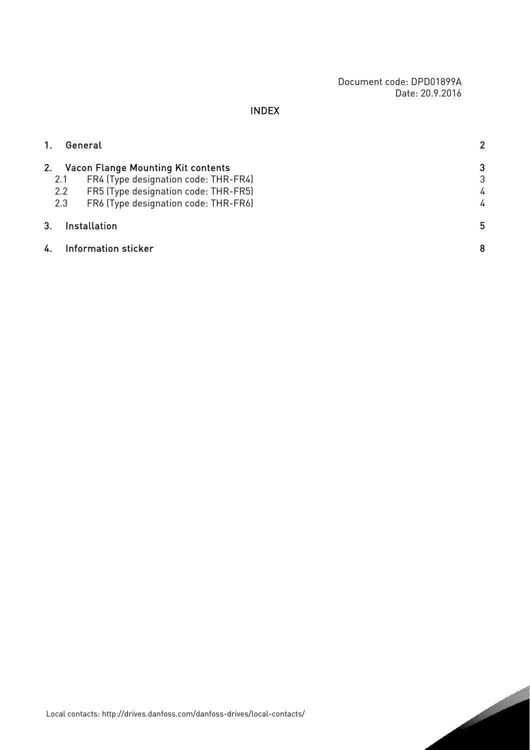Document code: DPD01899A Date: 20.9.2016

### INDEX

| 1. |                   | General                                                                                                                                                           | 2                |
|----|-------------------|-------------------------------------------------------------------------------------------------------------------------------------------------------------------|------------------|
| 2. | 2.1<br>2.2<br>2.3 | <b>Vacon Flange Mounting Kit contents</b><br>FR4 (Type designation code: THR-FR4)<br>FR5 (Type designation code: THR-FR5)<br>FR6 (Type designation code: THR-FR6) | 3<br>3<br>4<br>4 |
| 3. |                   | <b>Installation</b>                                                                                                                                               | 5                |
| 4. |                   | Information sticker                                                                                                                                               | 8                |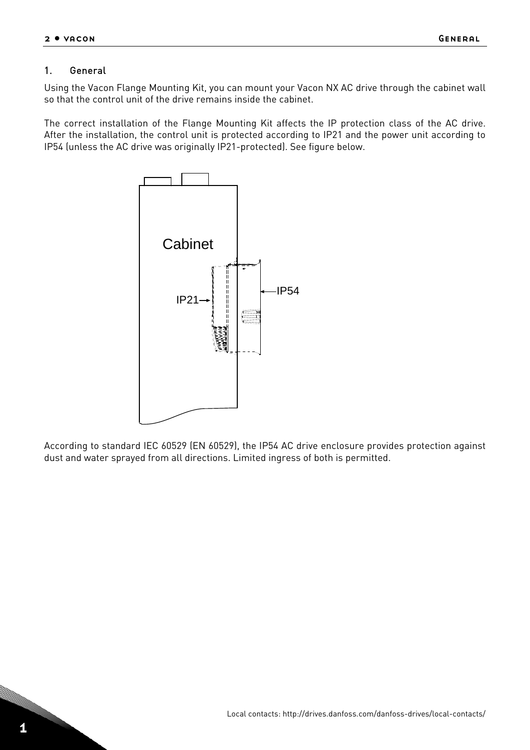#### <span id="page-3-0"></span>1. General

Using the Vacon Flange Mounting Kit, you can mount your Vacon NX AC drive through the cabinet wall so that the control unit of the drive remains inside the cabinet.

The correct installation of the Flange Mounting Kit affects the IP protection class of the AC drive. After the installation, the control unit is protected according to IP21 and the power unit according to IP54 (unless the AC drive was originally IP21-protected). See figure below.



According to standard IEC 60529 (EN 60529), the IP54 AC drive enclosure provides protection against dust and water sprayed from all directions. Limited ingress of both is permitted.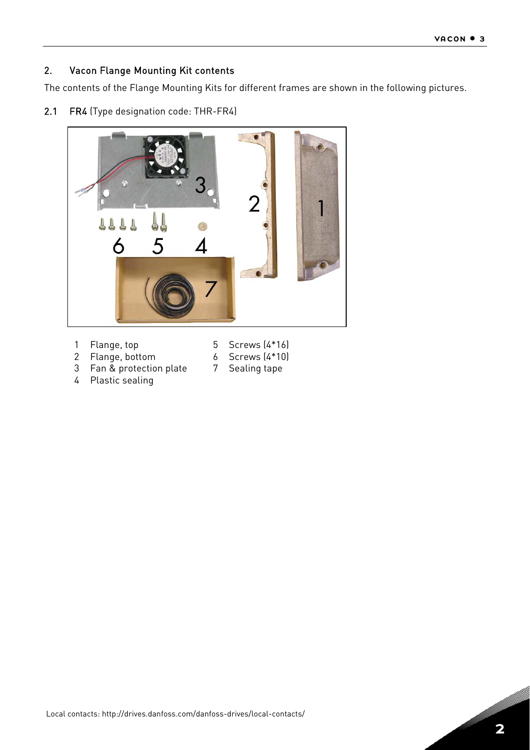#### <span id="page-4-0"></span>2. Vacon Flange Mounting Kit contents

The contents of the Flange Mounting Kits for different frames are shown in the following pictures.

2.1 FR4 (Type designation code: THR-FR4)



- Flange, top
- Screws (4\*16)
- Flange, bottom Fan & protection plate
- Screws (4\*10) Sealing tape
- Plastic sealing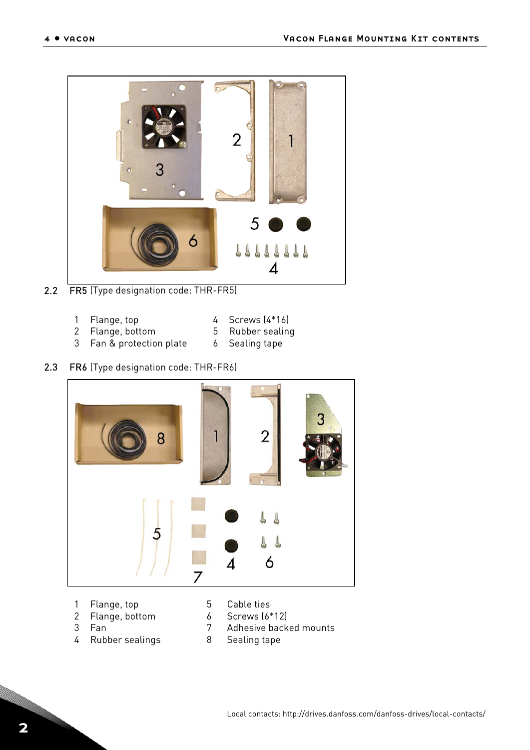<span id="page-5-0"></span>

- 2.2 FR5 (Type designation code: THR-FR5)
	- Flange, top
	- Flange, bottom
- Screws (4\*16)
- Rubber sealing
- Fan & protection plate Sealing tape

## 2.3 FR6 (Type designation code: THR-FR6)



- Flange, top
- Flange, bottom
	-
- Screws (6\*12)
- Fan
- Rubber sealings
- Cable ties
- 
- Adhesive backed mounts
- Sealing tape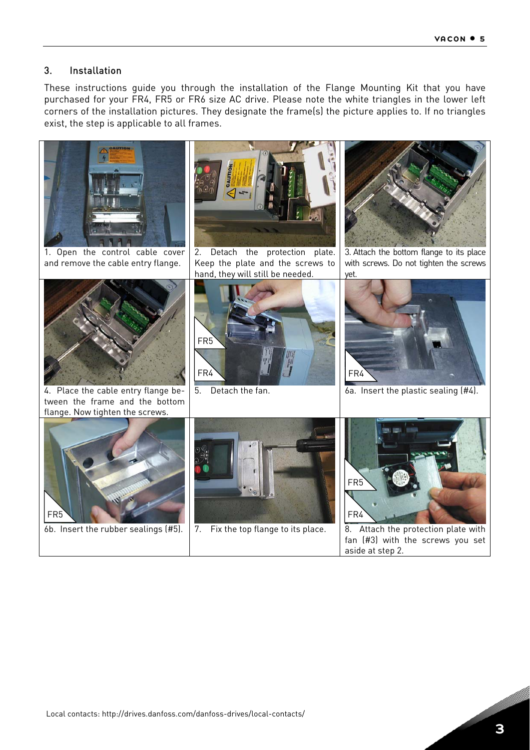### <span id="page-6-0"></span>3. Installation

These instructions guide you through the installation of the Flange Mounting Kit that you have purchased for your FR4, FR5 or FR6 size AC drive. Please note the white triangles in the lower left corners of the installation pictures. They designate the frame(s) the picture applies to. If no triangles exist, the step is applicable to all frames.

<span id="page-6-1"></span>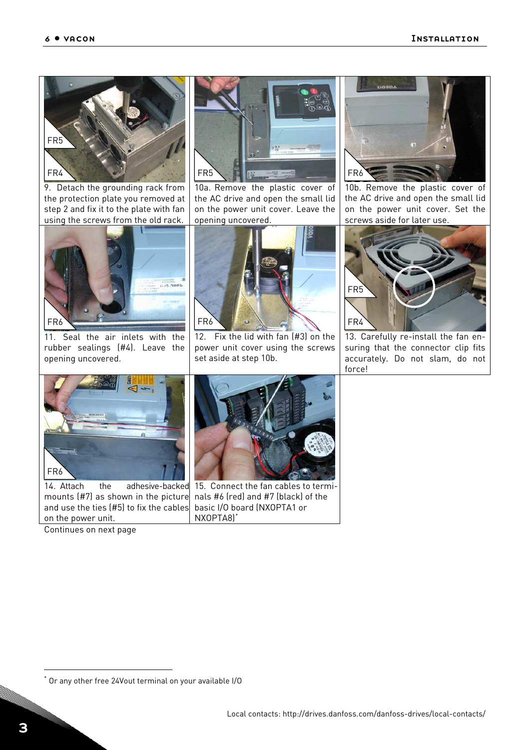

9. Detach the grounding rack from the protection plate you removed at step [2](#page-6-1) and fix it to the plate with fan using the screws from the old rack.

<span id="page-7-0"></span>

11. Seal the air inlets with the rubber sealings (#4). Leave the opening uncovered.



10a. Remove the plastic cover of the AC drive and open the small lid on the power unit cover. Leave the opening uncovered.



12. Fix the lid with fan (#3) on the power unit cover using the screws set aside at step [10b](#page-7-0).



10b. Remove the plastic cover of the AC drive and open the small lid on the power unit cover. Set the screws aside for later use.



13. Carefully re-install the fan ensuring that the connector clip fits accurately. Do not slam, do not force!



14. Attach the adhesive-backed mounts (#7) as shown in the picture and use the ties (#5) to fix the cables on the power unit.

Continues on next page



15. Connect the fan cables to terminals #6 (red) and #7 (black) of the basic I/O board (NXOPTA1 or NXOPTA8)[\\*](#page-7-1)

j

<span id="page-7-1"></span>Or any other free 24Vout terminal on your available I/O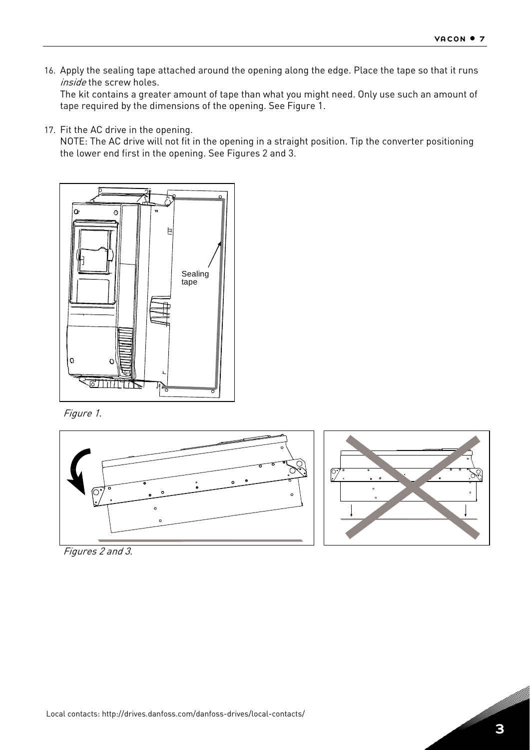16. Apply the sealing tape attached around the opening along the edge. Place the tape so that it runs inside the screw holes.

The kit contains a greater amount of tape than what you might need. Only use such an amount of tape required by the dimensions of the opening. See [Figure 1](#page-8-0).

17. Fit the AC drive in the opening.

NOTE: The AC drive will not fit in the opening in a straight position. Tip the converter positioning the lower end first in the opening. See [Figures 2](#page-8-1) and 3.



Figure 1.

<span id="page-8-0"></span>



<span id="page-8-1"></span>Figures 2 and 3.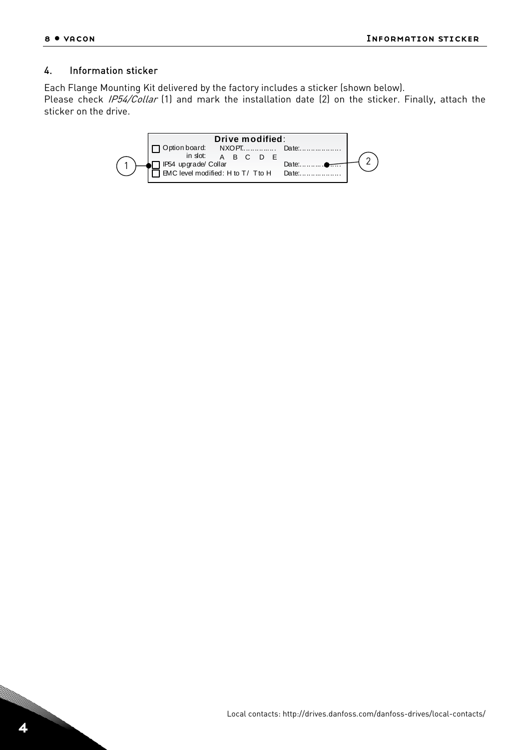#### <span id="page-9-0"></span>4. Information sticker

Each Flange Mounting Kit delivered by the factory includes a sticker (shown below).

Please check *IP54/Collar* (1) and mark the installation date (2) on the sticker. Finally, attach the sticker on the drive.

| Drive modified:                                                                       |  |  |
|---------------------------------------------------------------------------------------|--|--|
| $\Box$ Option board:<br>NXOPT<br>in slot:<br>A B C D<br>IP54 upgrade/ Collar<br>Date: |  |  |
| EMC level modified: H to T/ T to H Date:                                              |  |  |